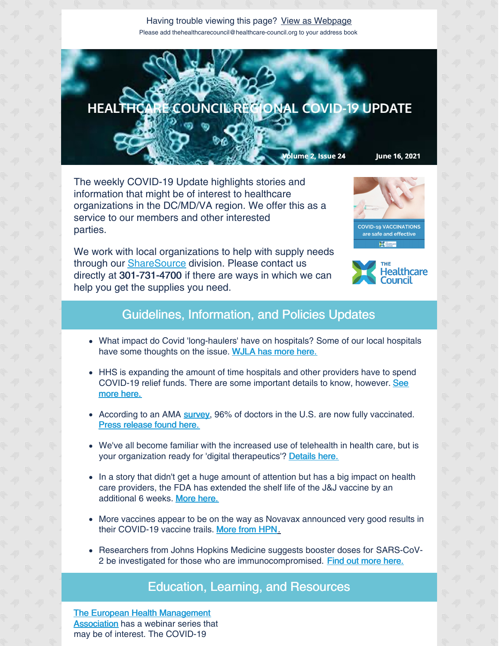Having trouble viewing this page? View as [Webpage](http://campaign.r20.constantcontact.com/render?ca=4f3e4b40-2231-43fc-921e-0727efa3ef53&preview=true&m=1135298390468&id=preview) Please add thehealthcarecouncil@healthcare-council.org to your address book



The weekly COVID-19 Update highlights stories and information that might be of interest to healthcare organizations in the DC/MD/VA region. We offer this as a service to our members and other interested parties.

We work with local organizations to help with supply needs through our **[ShareSource](https://www.share-source.org/)** division. Please contact us directly at 301-731-4700 if there are ways in which we can help you get the supplies you need.





## Guidelines, Information, and Policies Updates

- What impact do Covid 'long-haulers' have on hospitals? Some of our local hospitals have some thoughts on the issue. [WJLA](https://wjla.com/news/coronavirus/covid-long-hauler-debilitating-symptoms-continue-months-after-diagnosis) has more here.
- HHS is expanding the amount of time hospitals and other providers have to spend [COVID-19](https://www.healthcarefinancenews.com/news/hhs-giving-hospitals-more-leeway-using-covid-19-relief-funds) relief funds. There are some important details to know, however. See more here.
- According to an AMA [survey](https://www.ama-assn.org/system/files/2021-06/physician-vaccination-study-topline-report.pdf), 96% of doctors in the U.S. are now fully vaccinated. Press [release](https://www.ama-assn.org/press-center/press-releases/ama-survey-shows-over-96-doctors-fully-vaccinated-against-covid-19#:~:text=AMA survey shows over 96,American Medical Association) found here.
- We've all become familiar with the increased use of telehealth in health care, but is your organization ready for 'digital therapeutics'? [Details](https://morningconsult.com/2021/06/15/digital-therapeutics-use-coverage-polling/?utm_source=newsletter&utm_medium=email_newsletter&utm_campaign=feature_story&utm_content=Galvin_Health_1_061521&mkt_tok=ODUwLVRBQS01MTEAAAF9rqKvk_sPoUBVf7U_KUxbFM895uWmCa9h95QlMyFJpPmtdxbfWWssC16Yj1DKNMgW8S54zyuxtLLzR0kq549g0xpBPHv2eTPkhpMHTO_Ws6Vv) here.
- In a story that didn't get a huge amount of attention but has a big impact on health care providers, the FDA has extended the shelf life of the J&J vaccine by an additional 6 weeks. [More](https://apnews.com/article/joe-biden-coronavirus-vaccine-science-coronavirus-pandemic-business-6d04574617b35c56e7ca2c711cc5585f?mkt_tok=ODUwLVRBQS01MTEAAAF9mg2SQDSVCC8tjdhHIu9_cw3IA_VXHJGpjGQE9cFAn7qGJ6s6aNu6hXMx8d7m8d_KMNQ8FGjXoUraZ3XuQzjmfOYaRucB3q8ewiCSGv3BdxAA) here.
- More vaccines appear to be on the way as Novavax announced very good results in their COVID-19 vaccine trails. [More](https://www.hpnonline.com/infection-prevention/screening-surveillance/article/21226808/us-clinical-trial-shows-novavax-vaccine-is-safe-and-prevents-covid19?utm_source=HPN+Daily+Newsletter&utm_medium=email&utm_campaign=CPS210614085&o_eid=8887J6354667A2S&rdx.ident=%5Bobject+Object%5D&oly_enc_id=8887J6354667A2S) from HPN[.](https://www.hpnonline.com/infection-prevention/screening-surveillance/article/21226808/us-clinical-trial-shows-novavax-vaccine-is-safe-and-prevents-covid19?utm_source=HPN+Daily+Newsletter&utm_medium=email&utm_campaign=CPS210614085&o_eid=8887J6354667A2S&rdx.ident=%5Bobject+Object%5D&oly_enc_id=8887J6354667A2S)
- Researchers from Johns Hopkins Medicine suggests booster doses for SARS-CoV2 be investigated for those who are immunocompromised. Find out [more](https://www.hpnonline.com/infection-prevention/screening-surveillance/article/21226782/johns-hopkins-medicine-researchers-say-sarscov2-booster-doses-should-be-investigated-immunocompromised-patients) here.

## Education, Learning, and Resources

The European Health [Management](https://ehma.org/about/) Association has a webinar series that may be of interest. The COVID-19